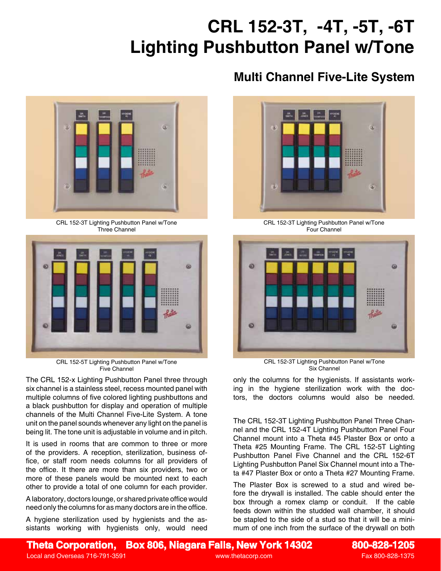## **CRL 152-3T, -4T, -5T, -6T Lighting Pushbutton Panel w/Tone**

## GÜ Rate ä CRL 152-3T Lighting Pushbutton Panel w/Tone

Three Channel



CRL 152-5T Lighting Pushbutton Panel w/Tone Five Channel

The CRL 152-x Lighting Pushbutton Panel three through six channel is a stainless steel, recess mounted panel with multiple columns of five colored lighting pushbuttons and a black pushbutton for display and operation of multiple channels of the Multi Channel Five-Lite System. A tone unit on the panel sounds whenever any light on the panel is being lit. The tone unit is adjustable in volume and in pitch.

It is used in rooms that are common to three or more of the providers. A reception, sterilization, business office, or staff room needs columns for all providers of the office. It there are more than six providers, two or more of these panels would be mounted next to each other to provide a total of one column for each provider.

A laboratory, doctors lounge, or shared private office would need only the columns for as many doctors are in the office.

A hygiene sterilization used by hygienists and the assistants working with hygienists only, would need

## **Multi Channel Five-Lite System**



CRL 152-3T Lighting Pushbutton Panel w/Tone Four Channel



CRL 152-3T Lighting Pushbutton Panel w/Tone Six Channel

only the columns for the hygienists. If assistants working in the hygiene sterilization work with the doctors, the doctors columns would also be needed.

The CRL 152-3T Lighting Pushbutton Panel Three Channel and the CRL 152-4T Lighting Pushbutton Panel Four Channel mount into a Theta #45 Plaster Box or onto a Theta #25 Mounting Frame. The CRL 152-5T Lighting Pushbutton Panel Five Channel and the CRL 152-6T Lighting Pushbutton Panel Six Channel mount into a Theta #47 Plaster Box or onto a Theta #27 Mounting Frame.

The Plaster Box is screwed to a stud and wired before the drywall is installed. The cable should enter the box through a romex clamp or conduit. If the cable feeds down within the studded wall chamber, it should be stapled to the side of a stud so that it will be a minimum of one inch from the surface of the drywall on both

**Theta Corporation, Box 806, Niagara Falls, New York 14302 800-828-1205**

Local and Overseas 716-791-3591 www.thetacorp.com Fax 800-828-1375